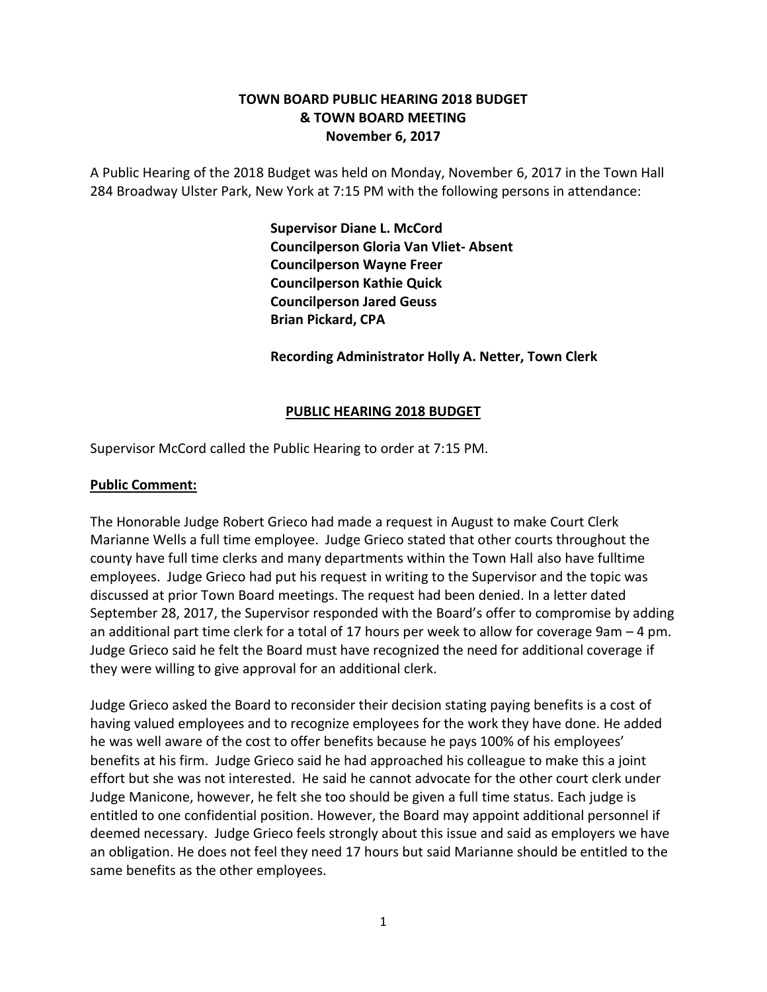# **TOWN BOARD PUBLIC HEARING 2018 BUDGET & TOWN BOARD MEETING November 6, 2017**

A Public Hearing of the 2018 Budget was held on Monday, November 6, 2017 in the Town Hall 284 Broadway Ulster Park, New York at 7:15 PM with the following persons in attendance:

> **Supervisor Diane L. McCord Councilperson Gloria Van Vliet- Absent Councilperson Wayne Freer Councilperson Kathie Quick Councilperson Jared Geuss Brian Pickard, CPA**

**Recording Administrator Holly A. Netter, Town Clerk**

#### **PUBLIC HEARING 2018 BUDGET**

Supervisor McCord called the Public Hearing to order at 7:15 PM.

#### **Public Comment:**

The Honorable Judge Robert Grieco had made a request in August to make Court Clerk Marianne Wells a full time employee. Judge Grieco stated that other courts throughout the county have full time clerks and many departments within the Town Hall also have fulltime employees. Judge Grieco had put his request in writing to the Supervisor and the topic was discussed at prior Town Board meetings. The request had been denied. In a letter dated September 28, 2017, the Supervisor responded with the Board's offer to compromise by adding an additional part time clerk for a total of 17 hours per week to allow for coverage 9am – 4 pm. Judge Grieco said he felt the Board must have recognized the need for additional coverage if they were willing to give approval for an additional clerk.

Judge Grieco asked the Board to reconsider their decision stating paying benefits is a cost of having valued employees and to recognize employees for the work they have done. He added he was well aware of the cost to offer benefits because he pays 100% of his employees' benefits at his firm. Judge Grieco said he had approached his colleague to make this a joint effort but she was not interested. He said he cannot advocate for the other court clerk under Judge Manicone, however, he felt she too should be given a full time status. Each judge is entitled to one confidential position. However, the Board may appoint additional personnel if deemed necessary. Judge Grieco feels strongly about this issue and said as employers we have an obligation. He does not feel they need 17 hours but said Marianne should be entitled to the same benefits as the other employees.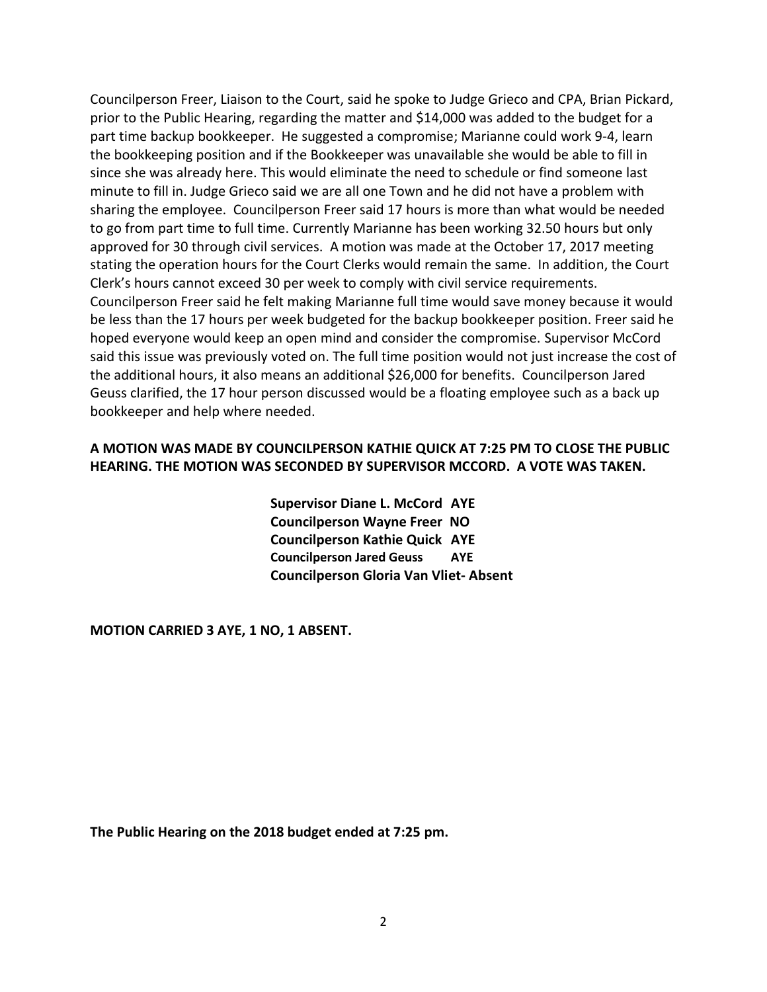Councilperson Freer, Liaison to the Court, said he spoke to Judge Grieco and CPA, Brian Pickard, prior to the Public Hearing, regarding the matter and \$14,000 was added to the budget for a part time backup bookkeeper. He suggested a compromise; Marianne could work 9-4, learn the bookkeeping position and if the Bookkeeper was unavailable she would be able to fill in since she was already here. This would eliminate the need to schedule or find someone last minute to fill in. Judge Grieco said we are all one Town and he did not have a problem with sharing the employee. Councilperson Freer said 17 hours is more than what would be needed to go from part time to full time. Currently Marianne has been working 32.50 hours but only approved for 30 through civil services. A motion was made at the October 17, 2017 meeting stating the operation hours for the Court Clerks would remain the same. In addition, the Court Clerk's hours cannot exceed 30 per week to comply with civil service requirements. Councilperson Freer said he felt making Marianne full time would save money because it would be less than the 17 hours per week budgeted for the backup bookkeeper position. Freer said he hoped everyone would keep an open mind and consider the compromise. Supervisor McCord said this issue was previously voted on. The full time position would not just increase the cost of the additional hours, it also means an additional \$26,000 for benefits. Councilperson Jared Geuss clarified, the 17 hour person discussed would be a floating employee such as a back up bookkeeper and help where needed.

# **A MOTION WAS MADE BY COUNCILPERSON KATHIE QUICK AT 7:25 PM TO CLOSE THE PUBLIC HEARING. THE MOTION WAS SECONDED BY SUPERVISOR MCCORD. A VOTE WAS TAKEN.**

**Supervisor Diane L. McCord AYE Councilperson Wayne Freer NO Councilperson Kathie Quick AYE Councilperson Jared Geuss AYE Councilperson Gloria Van Vliet- Absent**

**MOTION CARRIED 3 AYE, 1 NO, 1 ABSENT.**

**The Public Hearing on the 2018 budget ended at 7:25 pm.**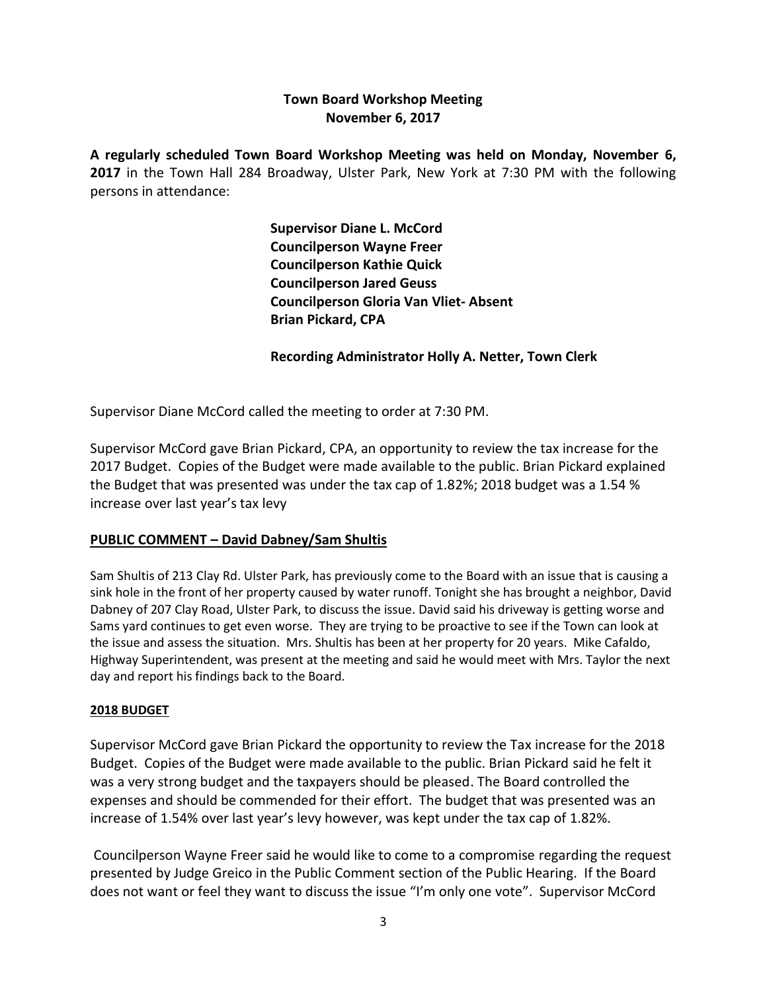# **Town Board Workshop Meeting November 6, 2017**

**A regularly scheduled Town Board Workshop Meeting was held on Monday, November 6, 2017** in the Town Hall 284 Broadway, Ulster Park, New York at 7:30 PM with the following persons in attendance:

> **Supervisor Diane L. McCord Councilperson Wayne Freer Councilperson Kathie Quick Councilperson Jared Geuss Councilperson Gloria Van Vliet- Absent Brian Pickard, CPA**

### **Recording Administrator Holly A. Netter, Town Clerk**

Supervisor Diane McCord called the meeting to order at 7:30 PM.

Supervisor McCord gave Brian Pickard, CPA, an opportunity to review the tax increase for the 2017 Budget. Copies of the Budget were made available to the public. Brian Pickard explained the Budget that was presented was under the tax cap of 1.82%; 2018 budget was a 1.54 % increase over last year's tax levy

# **PUBLIC COMMENT – David Dabney/Sam Shultis**

Sam Shultis of 213 Clay Rd. Ulster Park, has previously come to the Board with an issue that is causing a sink hole in the front of her property caused by water runoff. Tonight she has brought a neighbor, David Dabney of 207 Clay Road, Ulster Park, to discuss the issue. David said his driveway is getting worse and Sams yard continues to get even worse. They are trying to be proactive to see if the Town can look at the issue and assess the situation. Mrs. Shultis has been at her property for 20 years. Mike Cafaldo, Highway Superintendent, was present at the meeting and said he would meet with Mrs. Taylor the next day and report his findings back to the Board.

### **2018 BUDGET**

Supervisor McCord gave Brian Pickard the opportunity to review the Tax increase for the 2018 Budget. Copies of the Budget were made available to the public. Brian Pickard said he felt it was a very strong budget and the taxpayers should be pleased. The Board controlled the expenses and should be commended for their effort. The budget that was presented was an increase of 1.54% over last year's levy however, was kept under the tax cap of 1.82%.

Councilperson Wayne Freer said he would like to come to a compromise regarding the request presented by Judge Greico in the Public Comment section of the Public Hearing. If the Board does not want or feel they want to discuss the issue "I'm only one vote". Supervisor McCord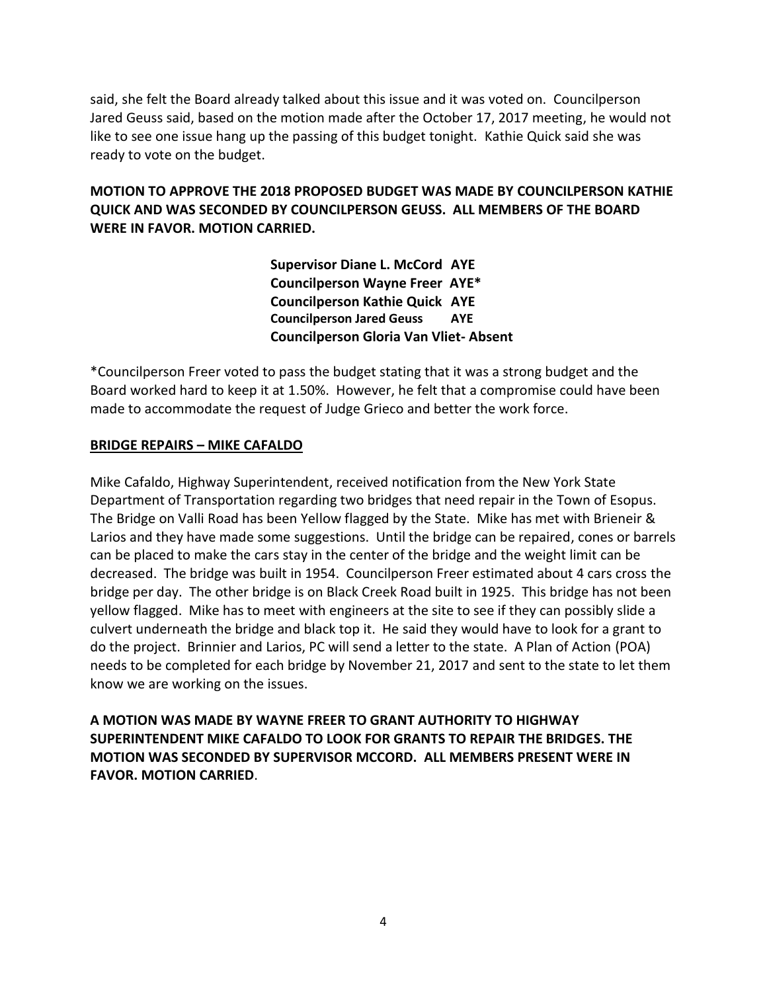said, she felt the Board already talked about this issue and it was voted on. Councilperson Jared Geuss said, based on the motion made after the October 17, 2017 meeting, he would not like to see one issue hang up the passing of this budget tonight. Kathie Quick said she was ready to vote on the budget.

# **MOTION TO APPROVE THE 2018 PROPOSED BUDGET WAS MADE BY COUNCILPERSON KATHIE QUICK AND WAS SECONDED BY COUNCILPERSON GEUSS. ALL MEMBERS OF THE BOARD WERE IN FAVOR. MOTION CARRIED.**

**Supervisor Diane L. McCord AYE Councilperson Wayne Freer AYE\* Councilperson Kathie Quick AYE Councilperson Jared Geuss AYE Councilperson Gloria Van Vliet- Absent**

\*Councilperson Freer voted to pass the budget stating that it was a strong budget and the Board worked hard to keep it at 1.50%. However, he felt that a compromise could have been made to accommodate the request of Judge Grieco and better the work force.

### **BRIDGE REPAIRS – MIKE CAFALDO**

Mike Cafaldo, Highway Superintendent, received notification from the New York State Department of Transportation regarding two bridges that need repair in the Town of Esopus. The Bridge on Valli Road has been Yellow flagged by the State. Mike has met with Brieneir & Larios and they have made some suggestions. Until the bridge can be repaired, cones or barrels can be placed to make the cars stay in the center of the bridge and the weight limit can be decreased. The bridge was built in 1954. Councilperson Freer estimated about 4 cars cross the bridge per day. The other bridge is on Black Creek Road built in 1925. This bridge has not been yellow flagged. Mike has to meet with engineers at the site to see if they can possibly slide a culvert underneath the bridge and black top it. He said they would have to look for a grant to do the project. Brinnier and Larios, PC will send a letter to the state. A Plan of Action (POA) needs to be completed for each bridge by November 21, 2017 and sent to the state to let them know we are working on the issues.

**A MOTION WAS MADE BY WAYNE FREER TO GRANT AUTHORITY TO HIGHWAY SUPERINTENDENT MIKE CAFALDO TO LOOK FOR GRANTS TO REPAIR THE BRIDGES. THE MOTION WAS SECONDED BY SUPERVISOR MCCORD. ALL MEMBERS PRESENT WERE IN FAVOR. MOTION CARRIED**.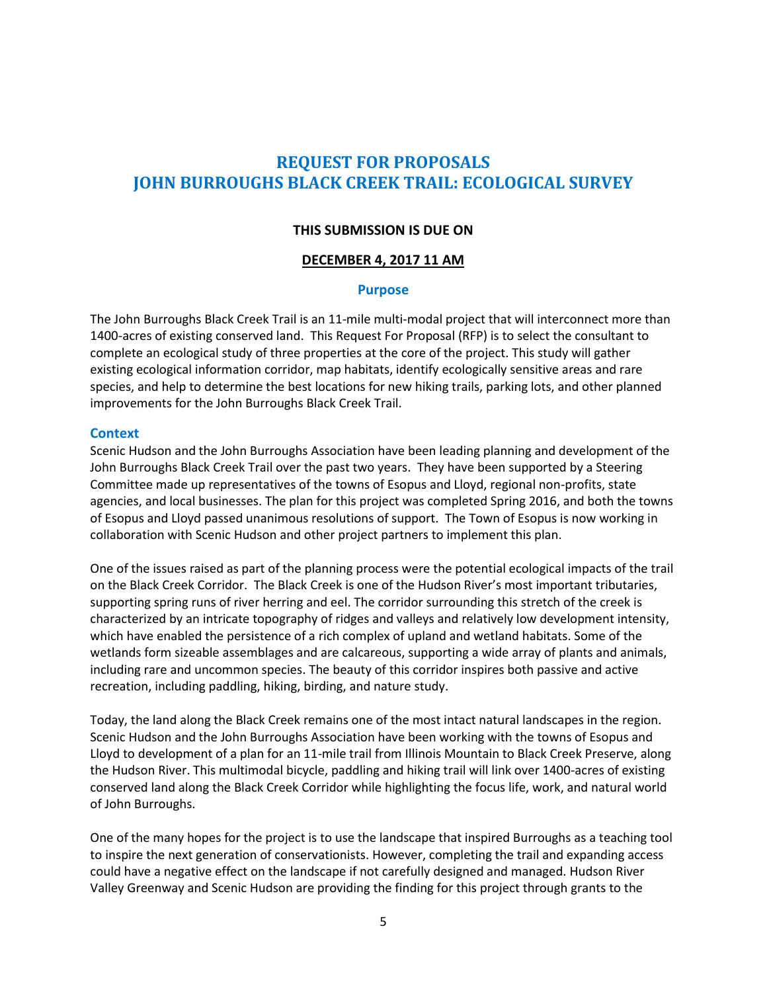# **REQUEST FOR PROPOSALS JOHN BURROUGHS BLACK CREEK TRAIL: ECOLOGICAL SURVEY**

#### **THIS SUBMISSION IS DUE ON**

#### **DECEMBER 4, 2017 11 AM**

#### **Purpose**

The John Burroughs Black Creek Trail is an 11-mile multi-modal project that will interconnect more than 1400-acres of existing conserved land. This Request For Proposal (RFP) is to select the consultant to complete an ecological study of three properties at the core of the project. This study will gather existing ecological information corridor, map habitats, identify ecologically sensitive areas and rare species, and help to determine the best locations for new hiking trails, parking lots, and other planned improvements for the John Burroughs Black Creek Trail.

#### **Context**

Scenic Hudson and the John Burroughs Association have been leading planning and development of the John Burroughs Black Creek Trail over the past two years. They have been supported by a Steering Committee made up representatives of the towns of Esopus and Lloyd, regional non-profits, state agencies, and local businesses. The plan for this project was completed Spring 2016, and both the towns of Esopus and Lloyd passed unanimous resolutions of support. The Town of Esopus is now working in collaboration with Scenic Hudson and other project partners to implement this plan.

One of the issues raised as part of the planning process were the potential ecological impacts of the trail on the Black Creek Corridor. The Black Creek is one of the Hudson River's most important tributaries, supporting spring runs of river herring and eel. The corridor surrounding this stretch of the creek is characterized by an intricate topography of ridges and valleys and relatively low development intensity, which have enabled the persistence of a rich complex of upland and wetland habitats. Some of the wetlands form sizeable assemblages and are calcareous, supporting a wide array of plants and animals, including rare and uncommon species. The beauty of this corridor inspires both passive and active recreation, including paddling, hiking, birding, and nature study.

Today, the land along the Black Creek remains one of the most intact natural landscapes in the region. Scenic Hudson and the John Burroughs Association have been working with the towns of Esopus and Lloyd to development of a plan for an 11-mile trail from Illinois Mountain to Black Creek Preserve, along the Hudson River. This multimodal bicycle, paddling and hiking trail will link over 1400-acres of existing conserved land along the Black Creek Corridor while highlighting the focus life, work, and natural world of John Burroughs.

One of the many hopes for the project is to use the landscape that inspired Burroughs as a teaching tool to inspire the next generation of conservationists. However, completing the trail and expanding access could have a negative effect on the landscape if not carefully designed and managed. Hudson River Valley Greenway and Scenic Hudson are providing the finding for this project through grants to the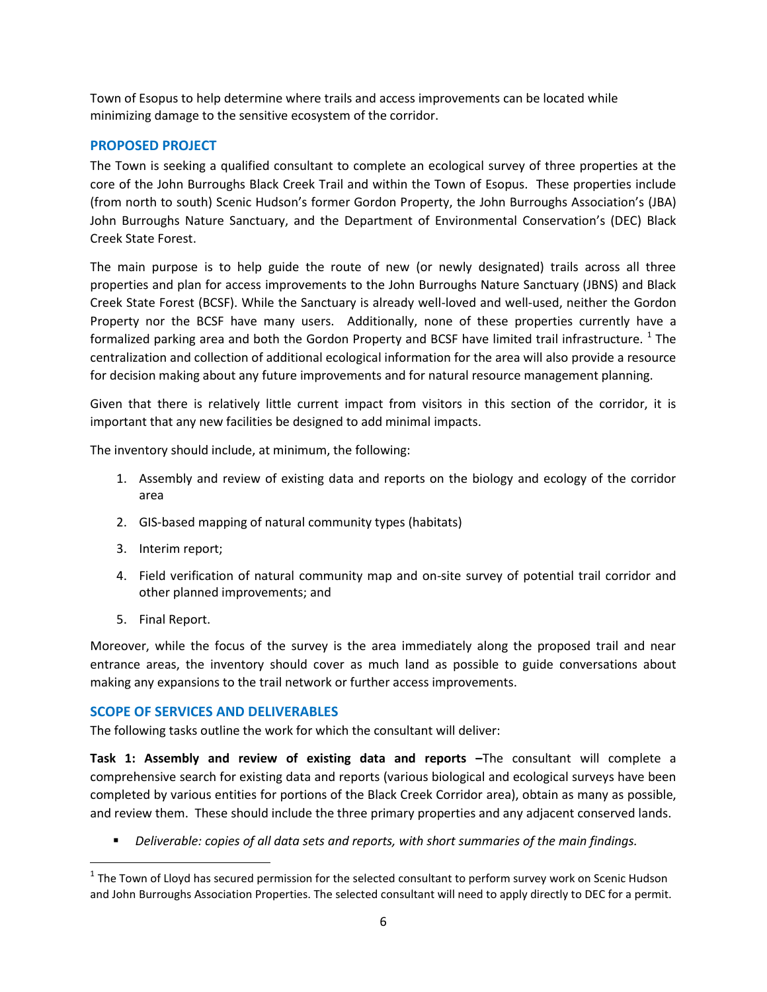Town of Esopus to help determine where trails and access improvements can be located while minimizing damage to the sensitive ecosystem of the corridor.

#### **PROPOSED PROJECT**

The Town is seeking a qualified consultant to complete an ecological survey of three properties at the core of the John Burroughs Black Creek Trail and within the Town of Esopus. These properties include (from north to south) Scenic Hudson's former Gordon Property, the John Burroughs Association's (JBA) John Burroughs Nature Sanctuary, and the Department of Environmental Conservation's (DEC) Black Creek State Forest.

The main purpose is to help guide the route of new (or newly designated) trails across all three properties and plan for access improvements to the John Burroughs Nature Sanctuary (JBNS) and Black Creek State Forest (BCSF). While the Sanctuary is already well-loved and well-used, neither the Gordon Property nor the BCSF have many users. Additionally, none of these properties currently have a formalized parking area and both the Gordon Property and BCSF have limited trail infrastructure.  $^{1}$  The centralization and collection of additional ecological information for the area will also provide a resource for decision making about any future improvements and for natural resource management planning.

Given that there is relatively little current impact from visitors in this section of the corridor, it is important that any new facilities be designed to add minimal impacts.

The inventory should include, at minimum, the following:

- 1. Assembly and review of existing data and reports on the biology and ecology of the corridor area
- 2. GIS-based mapping of natural community types (habitats)
- 3. Interim report;
- 4. Field verification of natural community map and on-site survey of potential trail corridor and other planned improvements; and
- 5. Final Report.

 $\overline{\phantom{a}}$ 

Moreover, while the focus of the survey is the area immediately along the proposed trail and near entrance areas, the inventory should cover as much land as possible to guide conversations about making any expansions to the trail network or further access improvements.

### **SCOPE OF SERVICES AND DELIVERABLES**

The following tasks outline the work for which the consultant will deliver:

**Task 1: Assembly and review of existing data and reports –**The consultant will complete a comprehensive search for existing data and reports (various biological and ecological surveys have been completed by various entities for portions of the Black Creek Corridor area), obtain as many as possible, and review them. These should include the three primary properties and any adjacent conserved lands.

*Deliverable: copies of all data sets and reports, with short summaries of the main findings.*

 $^1$  The Town of Lloyd has secured permission for the selected consultant to perform survey work on Scenic Hudson and John Burroughs Association Properties. The selected consultant will need to apply directly to DEC for a permit.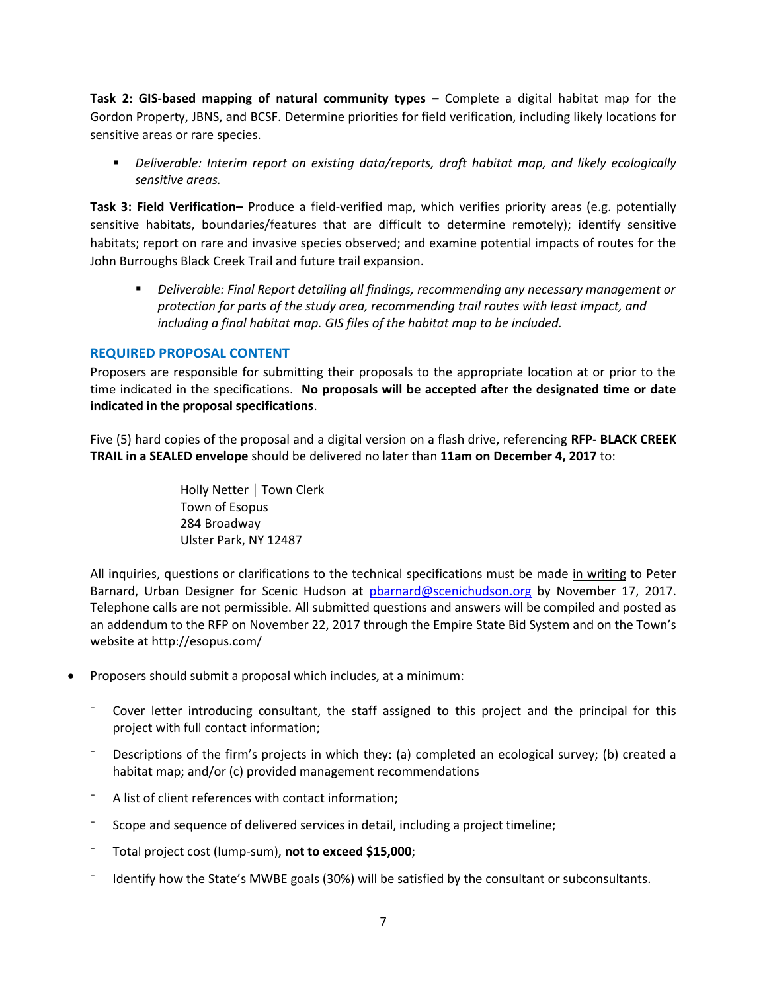**Task 2: GIS-based mapping of natural community types –** Complete a digital habitat map for the Gordon Property, JBNS, and BCSF. Determine priorities for field verification, including likely locations for sensitive areas or rare species.

 *Deliverable: Interim report on existing data/reports, draft habitat map, and likely ecologically sensitive areas.*

**Task 3: Field Verification–** Produce a field-verified map, which verifies priority areas (e.g. potentially sensitive habitats, boundaries/features that are difficult to determine remotely); identify sensitive habitats; report on rare and invasive species observed; and examine potential impacts of routes for the John Burroughs Black Creek Trail and future trail expansion.

 *Deliverable: Final Report detailing all findings, recommending any necessary management or protection for parts of the study area, recommending trail routes with least impact, and including a final habitat map. GIS files of the habitat map to be included.*

#### **REQUIRED PROPOSAL CONTENT**

Proposers are responsible for submitting their proposals to the appropriate location at or prior to the time indicated in the specifications. **No proposals will be accepted after the designated time or date indicated in the proposal specifications**.

Five (5) hard copies of the proposal and a digital version on a flash drive, referencing **RFP- BLACK CREEK TRAIL in a SEALED envelope** should be delivered no later than **11am on December 4, 2017** to:

> Holly Netter │ Town Clerk Town of Esopus 284 Broadway Ulster Park, NY 12487

All inquiries, questions or clarifications to the technical specifications must be made in writing to Peter Barnard, Urban Designer for Scenic Hudson at [pbarnard@scenichudson.org](mailto:phesse@cityofpoughkeepsie.com) by November 17, 2017. Telephone calls are not permissible. All submitted questions and answers will be compiled and posted as an addendum to the RFP on November 22, 2017 through the Empire State Bid System and on the Town's website at http://esopus.com/

- Proposers should submit a proposal which includes, at a minimum:
	- Cover letter introducing consultant, the staff assigned to this project and the principal for this project with full contact information;
	- Descriptions of the firm's projects in which they: (a) completed an ecological survey; (b) created a habitat map; and/or (c) provided management recommendations
	- A list of client references with contact information;
	- Scope and sequence of delivered services in detail, including a project timeline;
	- ⁻ Total project cost (lump-sum), **not to exceed \$15,000**;
	- ⁻ Identify how the State's MWBE goals (30%) will be satisfied by the consultant or subconsultants.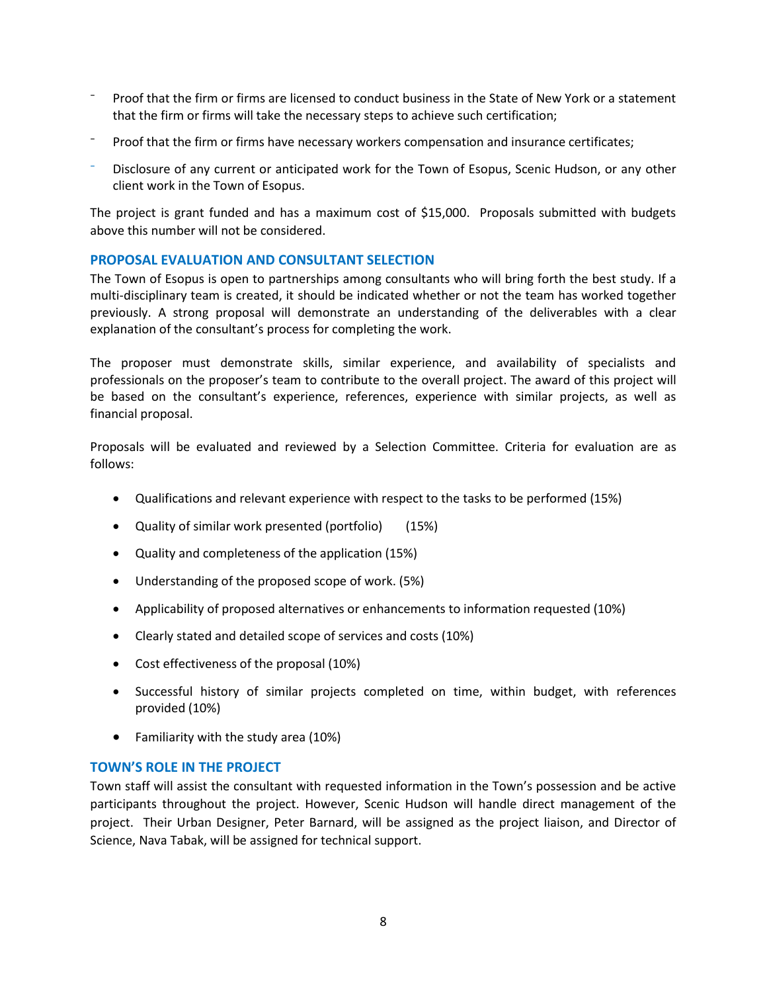- ⁻ Proof that the firm or firms are licensed to conduct business in the State of New York or a statement that the firm or firms will take the necessary steps to achieve such certification;
- Proof that the firm or firms have necessary workers compensation and insurance certificates;
- Disclosure of any current or anticipated work for the Town of Esopus, Scenic Hudson, or any other client work in the Town of Esopus.

The project is grant funded and has a maximum cost of \$15,000. Proposals submitted with budgets above this number will not be considered.

#### **PROPOSAL EVALUATION AND CONSULTANT SELECTION**

The Town of Esopus is open to partnerships among consultants who will bring forth the best study. If a multi-disciplinary team is created, it should be indicated whether or not the team has worked together previously. A strong proposal will demonstrate an understanding of the deliverables with a clear explanation of the consultant's process for completing the work.

The proposer must demonstrate skills, similar experience, and availability of specialists and professionals on the proposer's team to contribute to the overall project. The award of this project will be based on the consultant's experience, references, experience with similar projects, as well as financial proposal.

Proposals will be evaluated and reviewed by a Selection Committee. Criteria for evaluation are as follows:

- Qualifications and relevant experience with respect to the tasks to be performed (15%)
- Quality of similar work presented (portfolio) (15%)
- Quality and completeness of the application (15%)
- Understanding of the proposed scope of work. (5%)
- Applicability of proposed alternatives or enhancements to information requested (10%)
- Clearly stated and detailed scope of services and costs (10%)
- Cost effectiveness of the proposal (10%)
- Successful history of similar projects completed on time, within budget, with references provided (10%)
- Familiarity with the study area (10%)

#### **TOWN'S ROLE IN THE PROJECT**

Town staff will assist the consultant with requested information in the Town's possession and be active participants throughout the project. However, Scenic Hudson will handle direct management of the project. Their Urban Designer, Peter Barnard, will be assigned as the project liaison, and Director of Science, Nava Tabak, will be assigned for technical support.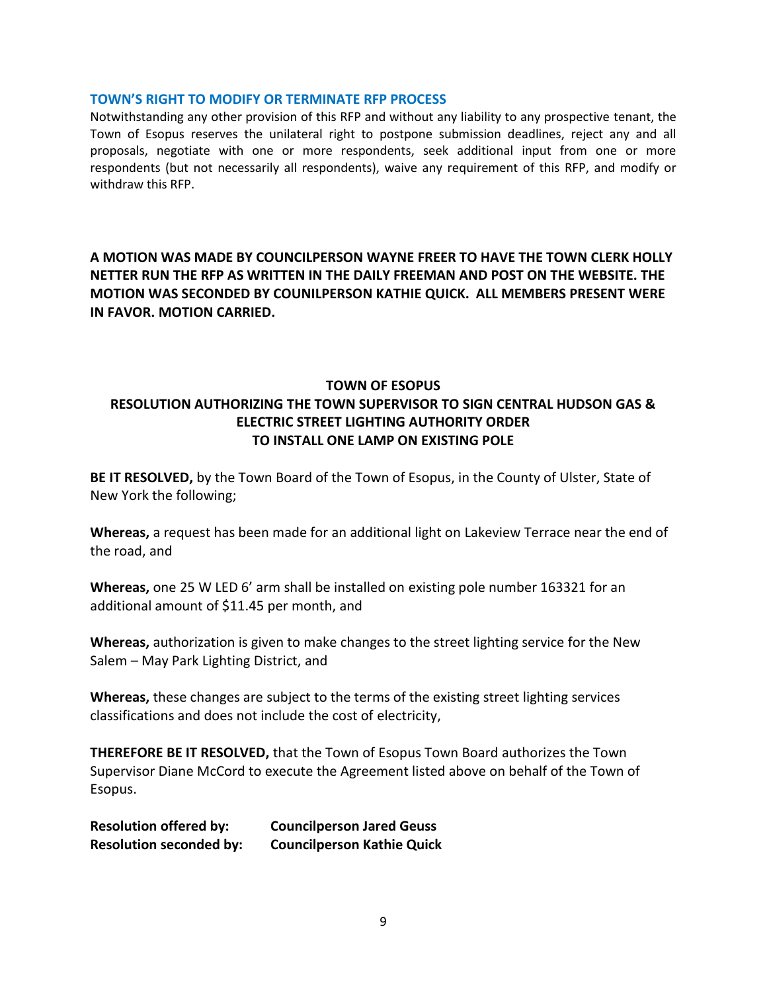#### **TOWN'S RIGHT TO MODIFY OR TERMINATE RFP PROCESS**

Notwithstanding any other provision of this RFP and without any liability to any prospective tenant, the Town of Esopus reserves the unilateral right to postpone submission deadlines, reject any and all proposals, negotiate with one or more respondents, seek additional input from one or more respondents (but not necessarily all respondents), waive any requirement of this RFP, and modify or withdraw this RFP.

# **A MOTION WAS MADE BY COUNCILPERSON WAYNE FREER TO HAVE THE TOWN CLERK HOLLY NETTER RUN THE RFP AS WRITTEN IN THE DAILY FREEMAN AND POST ON THE WEBSITE. THE MOTION WAS SECONDED BY COUNILPERSON KATHIE QUICK. ALL MEMBERS PRESENT WERE IN FAVOR. MOTION CARRIED.**

# **TOWN OF ESOPUS RESOLUTION AUTHORIZING THE TOWN SUPERVISOR TO SIGN CENTRAL HUDSON GAS & ELECTRIC STREET LIGHTING AUTHORITY ORDER TO INSTALL ONE LAMP ON EXISTING POLE**

**BE IT RESOLVED,** by the Town Board of the Town of Esopus, in the County of Ulster, State of New York the following;

**Whereas,** a request has been made for an additional light on Lakeview Terrace near the end of the road, and

**Whereas,** one 25 W LED 6' arm shall be installed on existing pole number 163321 for an additional amount of \$11.45 per month, and

**Whereas,** authorization is given to make changes to the street lighting service for the New Salem – May Park Lighting District, and

**Whereas,** these changes are subject to the terms of the existing street lighting services classifications and does not include the cost of electricity,

**THEREFORE BE IT RESOLVED,** that the Town of Esopus Town Board authorizes the Town Supervisor Diane McCord to execute the Agreement listed above on behalf of the Town of Esopus.

**Resolution offered by: Councilperson Jared Geuss Resolution seconded by: Councilperson Kathie Quick**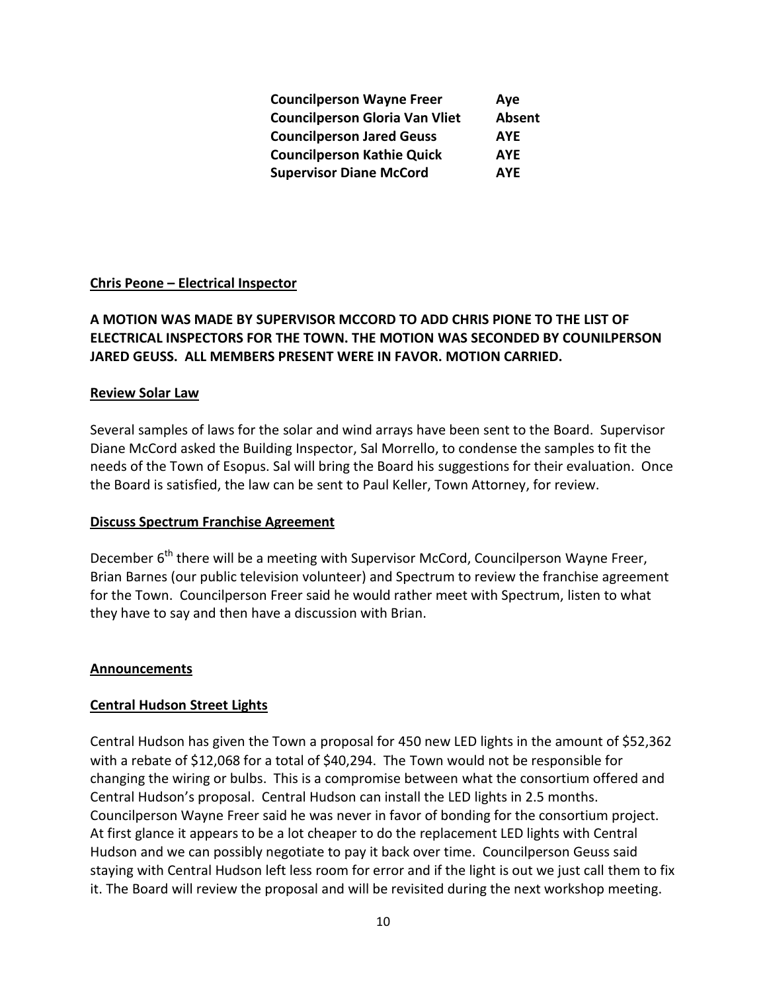| <b>Councilperson Wayne Freer</b>      | Aye        |
|---------------------------------------|------------|
| <b>Councilperson Gloria Van Vliet</b> | Absent     |
| <b>Councilperson Jared Geuss</b>      | <b>AYE</b> |
| <b>Councilperson Kathie Quick</b>     | <b>AYE</b> |
| <b>Supervisor Diane McCord</b>        | <b>AYE</b> |

### **Chris Peone – Electrical Inspector**

# **A MOTION WAS MADE BY SUPERVISOR MCCORD TO ADD CHRIS PIONE TO THE LIST OF ELECTRICAL INSPECTORS FOR THE TOWN. THE MOTION WAS SECONDED BY COUNILPERSON JARED GEUSS. ALL MEMBERS PRESENT WERE IN FAVOR. MOTION CARRIED.**

#### **Review Solar Law**

Several samples of laws for the solar and wind arrays have been sent to the Board. Supervisor Diane McCord asked the Building Inspector, Sal Morrello, to condense the samples to fit the needs of the Town of Esopus. Sal will bring the Board his suggestions for their evaluation. Once the Board is satisfied, the law can be sent to Paul Keller, Town Attorney, for review.

#### **Discuss Spectrum Franchise Agreement**

December  $6<sup>th</sup>$  there will be a meeting with Supervisor McCord, Councilperson Wayne Freer, Brian Barnes (our public television volunteer) and Spectrum to review the franchise agreement for the Town. Councilperson Freer said he would rather meet with Spectrum, listen to what they have to say and then have a discussion with Brian.

#### **Announcements**

### **Central Hudson Street Lights**

Central Hudson has given the Town a proposal for 450 new LED lights in the amount of \$52,362 with a rebate of \$12,068 for a total of \$40,294. The Town would not be responsible for changing the wiring or bulbs. This is a compromise between what the consortium offered and Central Hudson's proposal. Central Hudson can install the LED lights in 2.5 months. Councilperson Wayne Freer said he was never in favor of bonding for the consortium project. At first glance it appears to be a lot cheaper to do the replacement LED lights with Central Hudson and we can possibly negotiate to pay it back over time. Councilperson Geuss said staying with Central Hudson left less room for error and if the light is out we just call them to fix it. The Board will review the proposal and will be revisited during the next workshop meeting.